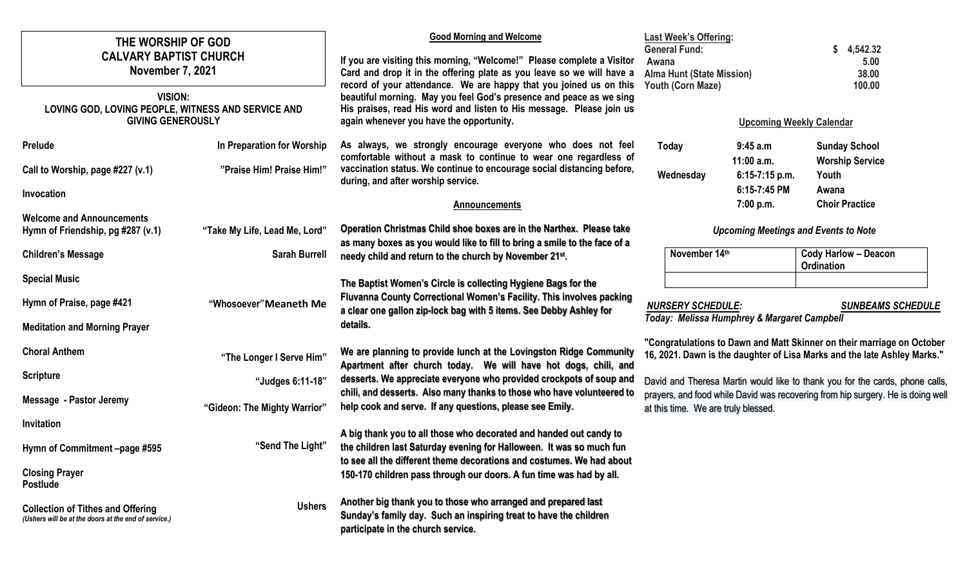| THE WORSHIP OF GOD<br><b>CALVARY BAPTIST CHURCH</b><br><b>November 7, 2021</b><br><b>VISION:</b><br>LOVING GOD, LOVING PEOPLE, WITNESS AND SERVICE AND |                               | <b>Good Morning and Welcome</b><br>If you are visiting this morning, "Welcome!" Please complete a Visitor<br>Card and drop it in the offering plate as you leave so we will have a<br>record of your attendance. We are happy that you joined us on this<br>beautiful morning. May you feel God's presence and peace as we sing<br>His praises, read His word and listen to His message. Please join us<br>again whenever you have the opportunity. | <b>Last Week's Offering:</b><br><b>General Fund:</b><br>Awana<br><b>Alma Hunt (State Mission)</b><br>Youth (Corn Maze)                                                                                                                                                                                                                                                                                                                                              |                           | 4,542.32<br>S<br>5.00<br>38.00<br>100.00       |
|--------------------------------------------------------------------------------------------------------------------------------------------------------|-------------------------------|-----------------------------------------------------------------------------------------------------------------------------------------------------------------------------------------------------------------------------------------------------------------------------------------------------------------------------------------------------------------------------------------------------------------------------------------------------|---------------------------------------------------------------------------------------------------------------------------------------------------------------------------------------------------------------------------------------------------------------------------------------------------------------------------------------------------------------------------------------------------------------------------------------------------------------------|---------------------------|------------------------------------------------|
| <b>GIVING GENEROUSLY</b>                                                                                                                               |                               |                                                                                                                                                                                                                                                                                                                                                                                                                                                     | <b>Upcoming Weekly Calendar</b>                                                                                                                                                                                                                                                                                                                                                                                                                                     |                           |                                                |
| <b>Prelude</b>                                                                                                                                         | In Preparation for Worship    | As always, we strongly encourage everyone who does not feel<br>comfortable without a mask to continue to wear one regardless of                                                                                                                                                                                                                                                                                                                     | Today                                                                                                                                                                                                                                                                                                                                                                                                                                                               | 9:45 a.m<br>$11:00$ a.m.  | <b>Sunday School</b><br><b>Worship Service</b> |
| Call to Worship, page #227 (v.1)                                                                                                                       | "Praise Him! Praise Him!"     | vaccination status. We continue to encourage social distancing before,<br>during, and after worship service.                                                                                                                                                                                                                                                                                                                                        | Wednesday                                                                                                                                                                                                                                                                                                                                                                                                                                                           | 6:15-7:15 p.m.            | Youth                                          |
| Invocation                                                                                                                                             |                               | <b>Announcements</b>                                                                                                                                                                                                                                                                                                                                                                                                                                |                                                                                                                                                                                                                                                                                                                                                                                                                                                                     | 6:15-7:45 PM<br>7:00 p.m. | Awana<br><b>Choir Practice</b>                 |
| <b>Welcome and Announcements</b><br>Hymn of Friendship, pg #287 (v.1)                                                                                  | "Take My Life, Lead Me, Lord" | Operation Christmas Child shoe boxes are in the Narthex. Please take<br>as many boxes as you would like to fill to bring a smile to the face of a                                                                                                                                                                                                                                                                                                   | <b>Upcoming Meetings and Events to Note</b>                                                                                                                                                                                                                                                                                                                                                                                                                         |                           |                                                |
| <b>Children's Message</b>                                                                                                                              | <b>Sarah Burrell</b>          | needy child and return to the church by November 21st.                                                                                                                                                                                                                                                                                                                                                                                              | November 14th                                                                                                                                                                                                                                                                                                                                                                                                                                                       |                           | <b>Cody Harlow - Deacon</b><br>Ordination      |
| <b>Special Music</b>                                                                                                                                   |                               | The Baptist Women's Circle is collecting Hygiene Bags for the                                                                                                                                                                                                                                                                                                                                                                                       |                                                                                                                                                                                                                                                                                                                                                                                                                                                                     |                           |                                                |
| Hymn of Praise, page #421                                                                                                                              | "Whosoever" Meaneth Me        | Fluvanna County Correctional Women's Facility. This involves packing<br>a clear one gallon zip-lock bag with 5 items. See Debby Ashley for                                                                                                                                                                                                                                                                                                          | <b>NURSERY SCHEDULE:</b><br><b>SUNBEAMS SCHEDULE</b><br>Today: Melissa Humphrey & Margaret Campbell<br>"Congratulations to Dawn and Matt Skinner on their marriage on October<br>16, 2021. Dawn is the daughter of Lisa Marks and the late Ashley Marks."<br>David and Theresa Martin would like to thank you for the cards, phone calls,<br>prayers, and food while David was recovering from hip surgery. He is doing well<br>at this time. We are truly blessed. |                           |                                                |
| <b>Meditation and Morning Prayer</b>                                                                                                                   |                               | details.                                                                                                                                                                                                                                                                                                                                                                                                                                            |                                                                                                                                                                                                                                                                                                                                                                                                                                                                     |                           |                                                |
| <b>Choral Anthem</b>                                                                                                                                   | "The Longer I Serve Him"      | We are planning to provide lunch at the Lovingston Ridge Community<br>Apartment after church today. We will have hot dogs, chili, and                                                                                                                                                                                                                                                                                                               |                                                                                                                                                                                                                                                                                                                                                                                                                                                                     |                           |                                                |
| <b>Scripture</b>                                                                                                                                       | "Judges 6:11-18"              | desserts. We appreciate everyone who provided crockpots of soup and                                                                                                                                                                                                                                                                                                                                                                                 |                                                                                                                                                                                                                                                                                                                                                                                                                                                                     |                           |                                                |
| <b>Message - Pastor Jeremy</b>                                                                                                                         | "Gideon: The Mighty Warrior"  | chili, and desserts. Also many thanks to those who have volunteered to<br>help cook and serve. If any questions, please see Emily.                                                                                                                                                                                                                                                                                                                  |                                                                                                                                                                                                                                                                                                                                                                                                                                                                     |                           |                                                |
| Invitation                                                                                                                                             |                               | A big thank you to all those who decorated and handed out candy to                                                                                                                                                                                                                                                                                                                                                                                  |                                                                                                                                                                                                                                                                                                                                                                                                                                                                     |                           |                                                |
| Hymn of Commitment -page #595                                                                                                                          | "Send The Light"              | the children last Saturday evening for Halloween. It was so much fun<br>to see all the different theme decorations and costumes. We had about                                                                                                                                                                                                                                                                                                       |                                                                                                                                                                                                                                                                                                                                                                                                                                                                     |                           |                                                |
| <b>Closing Prayer</b><br><b>Postlude</b>                                                                                                               |                               | 150-170 children pass through our doors. A fun time was had by all.                                                                                                                                                                                                                                                                                                                                                                                 |                                                                                                                                                                                                                                                                                                                                                                                                                                                                     |                           |                                                |
| <b>Collection of Tithes and Offering</b><br>(Ushers will be at the doors at the end of service.)                                                       | <b>Ushers</b>                 | Another big thank you to those who arranged and prepared last<br>Sunday's family day. Such an inspiring treat to have the children<br>participate in the church service.                                                                                                                                                                                                                                                                            |                                                                                                                                                                                                                                                                                                                                                                                                                                                                     |                           |                                                |